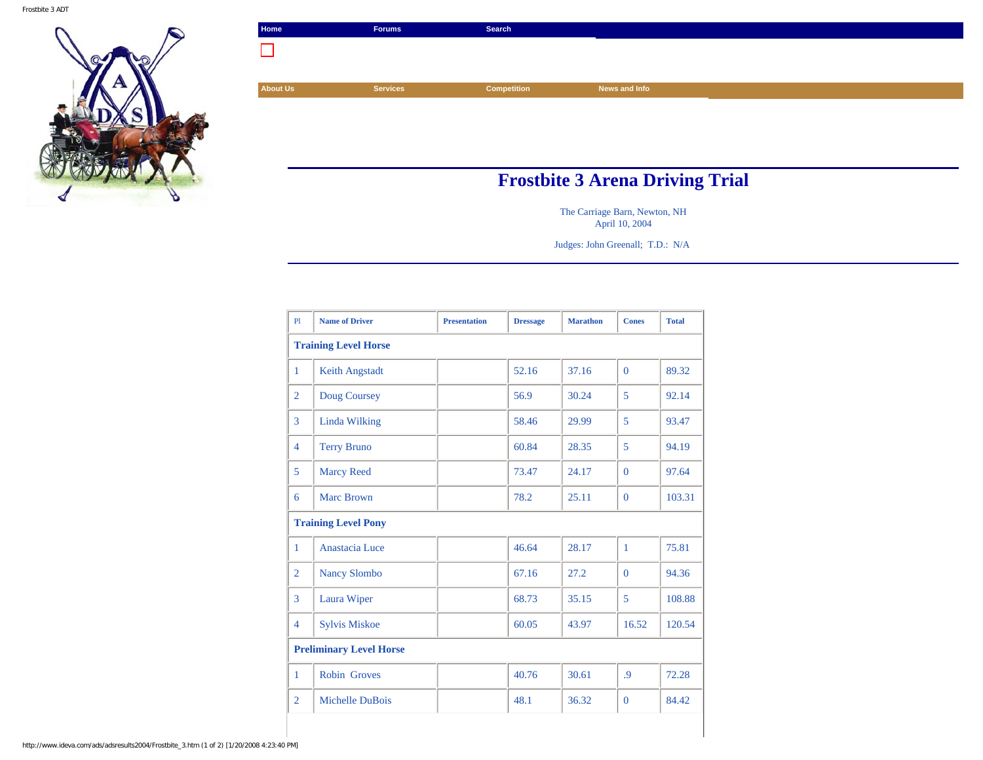

| Home                            | <b>Forums</b>   | Search      |               |  |  |
|---------------------------------|-----------------|-------------|---------------|--|--|
|                                 |                 |             |               |  |  |
|                                 |                 |             |               |  |  |
| <b>About Us</b>                 | <b>Services</b> | Competition | News and Info |  |  |
|                                 |                 |             |               |  |  |
|                                 |                 |             |               |  |  |
|                                 |                 |             |               |  |  |
|                                 |                 |             |               |  |  |
| Frosthite 2 Arona Driving Trial |                 |             |               |  |  |

## **Frostbite 3 Arena Driving Trial**

The Carriage Barn, Newton, NH April 10, 2004

Judges: John Greenall; T.D.: N/A

| PI                             | <b>Name of Driver</b> | <b>Presentation</b> | <b>Dressage</b> | <b>Marathon</b> | <b>Cones</b> | <b>Total</b> |  |  |
|--------------------------------|-----------------------|---------------------|-----------------|-----------------|--------------|--------------|--|--|
| <b>Training Level Horse</b>    |                       |                     |                 |                 |              |              |  |  |
| $\mathbf{1}$                   | Keith Angstadt        |                     | 52.16           | 37.16           | $\Omega$     | 89.32        |  |  |
| $\overline{2}$                 | Doug Coursey          |                     | 56.9            | 30.24           | 5            | 92.14        |  |  |
| 3                              | Linda Wilking         |                     | 58.46           | 29.99           | 5            | 93.47        |  |  |
| $\overline{4}$                 | <b>Terry Bruno</b>    |                     | 60.84           | 28.35           | 5            | 94.19        |  |  |
| 5                              | <b>Marcy Reed</b>     |                     | 73.47           | 24.17           | $\Omega$     | 97.64        |  |  |
| 6                              | <b>Marc Brown</b>     |                     | 78.2            | 25.11           | $\mathbf{0}$ | 103.31       |  |  |
| <b>Training Level Pony</b>     |                       |                     |                 |                 |              |              |  |  |
| 1                              | Anastacia Luce        |                     | 46.64           | 28.17           | $\mathbf{1}$ | 75.81        |  |  |
| $\overline{2}$                 | <b>Nancy Slombo</b>   |                     | 67.16           | 27.2            | $\Omega$     | 94.36        |  |  |
| 3                              | Laura Wiper           |                     | 68.73           | 35.15           | 5            | 108.88       |  |  |
| $\overline{4}$                 | <b>Sylvis Miskoe</b>  |                     | 60.05           | 43.97           | 16.52        | 120.54       |  |  |
| <b>Preliminary Level Horse</b> |                       |                     |                 |                 |              |              |  |  |
| 1                              | <b>Robin Groves</b>   |                     | 40.76           | 30.61           | $\cdot$      | 72.28        |  |  |
| $\overline{2}$                 | Michelle DuBois       |                     | 48.1            | 36.32           | $\Omega$     | 84.42        |  |  |